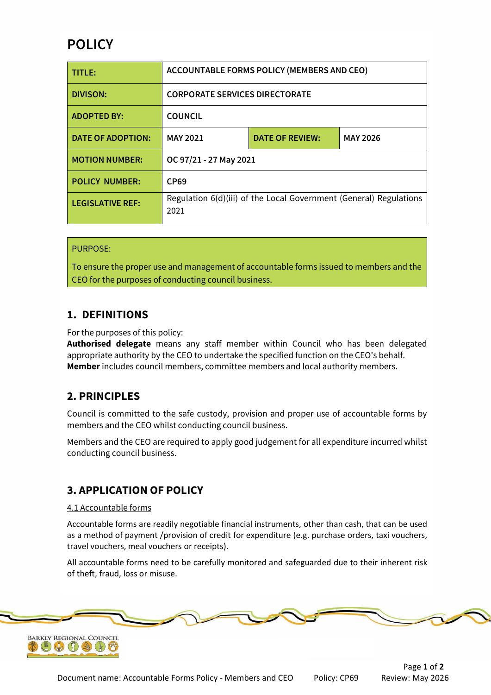# **POLICY**

| TITLE:                   | <b>ACCOUNTABLE FORMS POLICY (MEMBERS AND CEO)</b>                          |                        |                 |
|--------------------------|----------------------------------------------------------------------------|------------------------|-----------------|
| <b>DIVISON:</b>          | <b>CORPORATE SERVICES DIRECTORATE</b>                                      |                        |                 |
| <b>ADOPTED BY:</b>       | <b>COUNCIL</b>                                                             |                        |                 |
| <b>DATE OF ADOPTION:</b> | <b>MAY 2021</b>                                                            | <b>DATE OF REVIEW:</b> | <b>MAY 2026</b> |
| <b>MOTION NUMBER:</b>    | OC 97/21 - 27 May 2021                                                     |                        |                 |
| <b>POLICY NUMBER:</b>    | <b>CP69</b>                                                                |                        |                 |
| <b>LEGISLATIVE REF:</b>  | Regulation 6(d)(iii) of the Local Government (General) Regulations<br>2021 |                        |                 |

### PURPOSE:

To ensure the proper use and management of accountable forms issued to members and the CEO for the purposes of conducting council business.

### **1. DEFINITIONS**

For the purposes of this policy:

**Authorised delegate** means any staff member within Council who has been delegated appropriate authority by the CEO to undertake the specified function on the CEO's behalf. **Member** includes council members, committee members and local authority members.

## **2. PRINCIPLES**

Council is committed to the safe custody, provision and proper use of accountable forms by members and the CEO whilst conducting council business.

Members and the CEO are required to apply good judgement for all expenditure incurred whilst conducting council business.

## **3. APPLICATION OF POLICY**

#### 4.1 Accountable forms

Accountable forms are readily negotiable financial instruments, other than cash, that can be used as a method of payment /provision of credit for expenditure (e.g. purchase orders, taxi vouchers, travel vouchers, meal vouchers or receipts).

All accountable forms need to be carefully monitored and safeguarded due to their inherent risk of theft, fraud, loss or misuse.